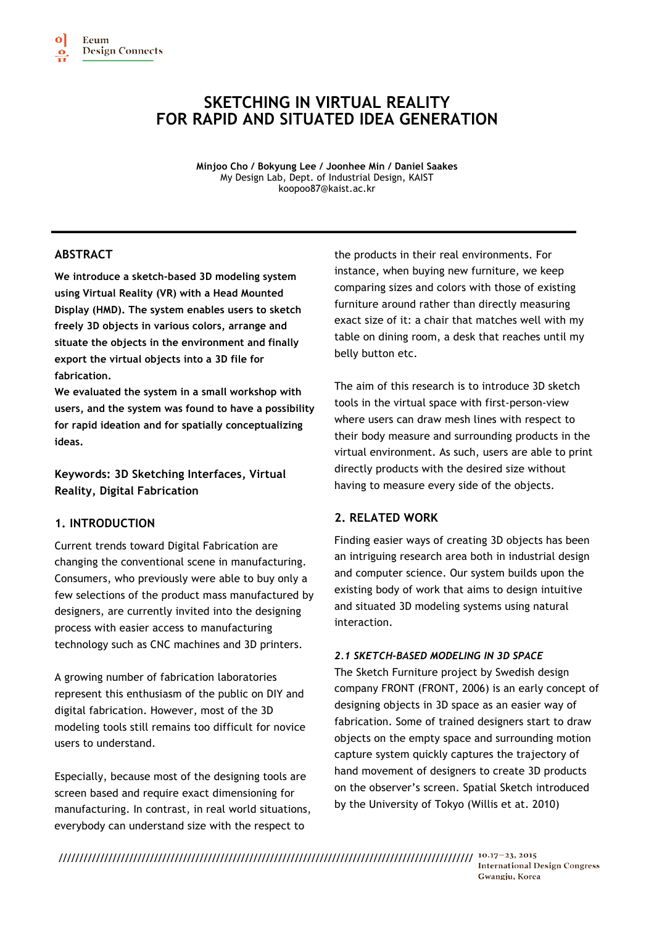# **SKETCHING IN VIRTUAL REALITY FOR RAPID AND SITUATED IDEA GENERATION**

**Minjoo Cho / Bokyung Lee / Joonhee Min / Daniel Saakes** My Design Lab, Dept. of Industrial Design, KAIST koopoo87@kaist.ac.kr

# **ABSTRACT**

**We introduce a sketch-based 3D modeling system using Virtual Reality (VR) with a Head Mounted Display (HMD). The system enables users to sketch freely 3D objects in various colors, arrange and situate the objects in the environment and finally export the virtual objects into a 3D file for fabrication.** 

**We evaluated the system in a small workshop with users, and the system was found to have a possibility for rapid ideation and for spatially conceptualizing ideas.**

**Keywords: 3D Sketching Interfaces, Virtual Reality, Digital Fabrication**

# **1. INTRODUCTION**

Current trends toward Digital Fabrication are changing the conventional scene in manufacturing. Consumers, who previously were able to buy only a few selections of the product mass manufactured by designers, are currently invited into the designing process with easier access to manufacturing technology such as CNC machines and 3D printers.

A growing number of fabrication laboratories represent this enthusiasm of the public on DIY and digital fabrication. However, most of the 3D modeling tools still remains too difficult for novice users to understand.

Especially, because most of the designing tools are screen based and require exact dimensioning for manufacturing. In contrast, in real world situations, everybody can understand size with the respect to

the products in their real environments. For instance, when buying new furniture, we keep comparing sizes and colors with those of existing furniture around rather than directly measuring exact size of it: a chair that matches well with my table on dining room, a desk that reaches until my belly button etc.

The aim of this research is to introduce 3D sketch tools in the virtual space with first-person-view where users can draw mesh lines with respect to their body measure and surrounding products in the virtual environment. As such, users are able to print directly products with the desired size without having to measure every side of the objects.

# **2. RELATED WORK**

Finding easier ways of creating 3D objects has been an intriguing research area both in industrial design and computer science. Our system builds upon the existing body of work that aims to design intuitive and situated 3D modeling systems using natural interaction.

# *2.1 SKETCH-BASED MODELING IN 3D SPACE*

The Sketch Furniture project by Swedish design company FRONT (FRONT, 2006) is an early concept of designing objects in 3D space as an easier way of fabrication. Some of trained designers start to draw objects on the empty space and surrounding motion capture system quickly captures the trajectory of hand movement of designers to create 3D products on the observer's screen. Spatial Sketch introduced by the University of Tokyo (Willis et at. 2010)

//////////////////////////////////////////////////////////////////////////////////////////////////// **International Design Congress** Gwangju, Korea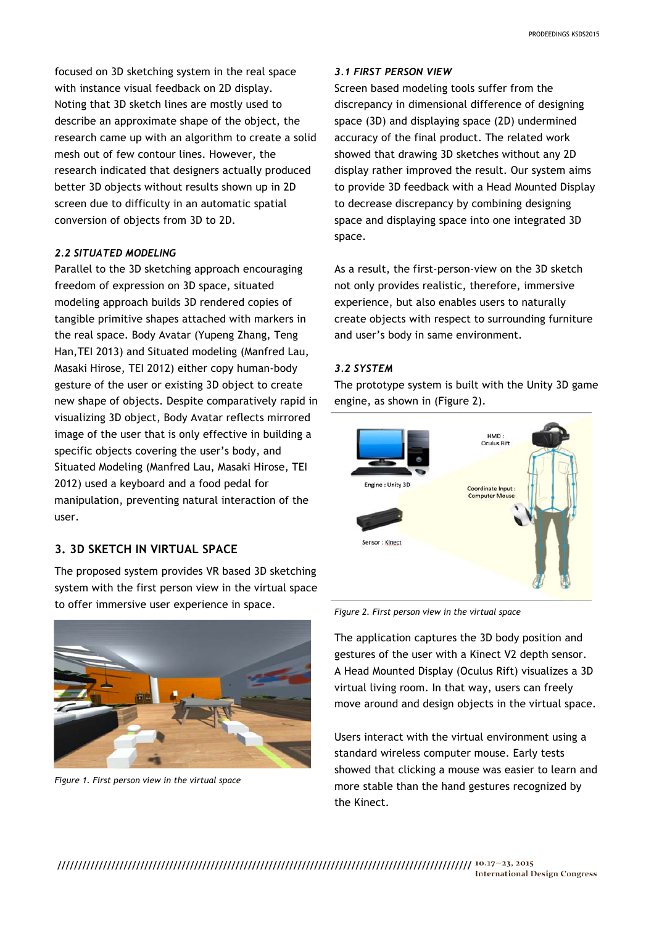focused on 3D sketching system in the real space with instance visual feedback on 2D display. Noting that 3D sketch lines are mostly used to describe an approximate shape of the object, the research came up with an algorithm to create a solid mesh out of few contour lines. However, the research indicated that designers actually produced better 3D objects without results shown up in 2D screen due to difficulty in an automatic spatial conversion of objects from 3D to 2D.

#### *2.2 SITUATED MODELING*

Parallel to the 3D sketching approach encouraging freedom of expression on 3D space, situated modeling approach builds 3D rendered copies of tangible primitive shapes attached with markers in the real space. Body Avatar (Yupeng Zhang, Teng Han,TEI 2013) and Situated modeling (Manfred Lau, Masaki Hirose, TEI 2012) either copy human-body gesture of the user or existing 3D object to create new shape of objects. Despite comparatively rapid in visualizing 3D object, Body Avatar reflects mirrored image of the user that is only effective in building a specific objects covering the user's body, and Situated Modeling (Manfred Lau, Masaki Hirose, TEI 2012) used a keyboard and a food pedal for manipulation, preventing natural interaction of the user.

# **3. 3D SKETCH IN VIRTUAL SPACE**

The proposed system provides VR based 3D sketching system with the first person view in the virtual space to offer immersive user experience in space.



*Figure 1. First person view in the virtual space*

#### *3.1 FIRST PERSON VIEW*

Screen based modeling tools suffer from the discrepancy in dimensional difference of designing space (3D) and displaying space (2D) undermined accuracy of the final product. The related work showed that drawing 3D sketches without any 2D display rather improved the result. Our system aims to provide 3D feedback with a Head Mounted Display to decrease discrepancy by combining designing space and displaying space into one integrated 3D space.

As a result, the first-person-view on the 3D sketch not only provides realistic, therefore, immersive experience, but also enables users to naturally create objects with respect to surrounding furniture and user's body in same environment.

#### *3.2 SYSTEM*

The prototype system is built with the Unity 3D game engine, as shown in (Figure 2).



*Figure 2. First person view in the virtual space*

The application captures the 3D body position and gestures of the user with a Kinect V2 depth sensor. A Head Mounted Display (Oculus Rift) visualizes a 3D virtual living room. In that way, users can freely move around and design objects in the virtual space.

Users interact with the virtual environment using a standard wireless computer mouse. Early tests showed that clicking a mouse was easier to learn and more stable than the hand gestures recognized by the Kinect.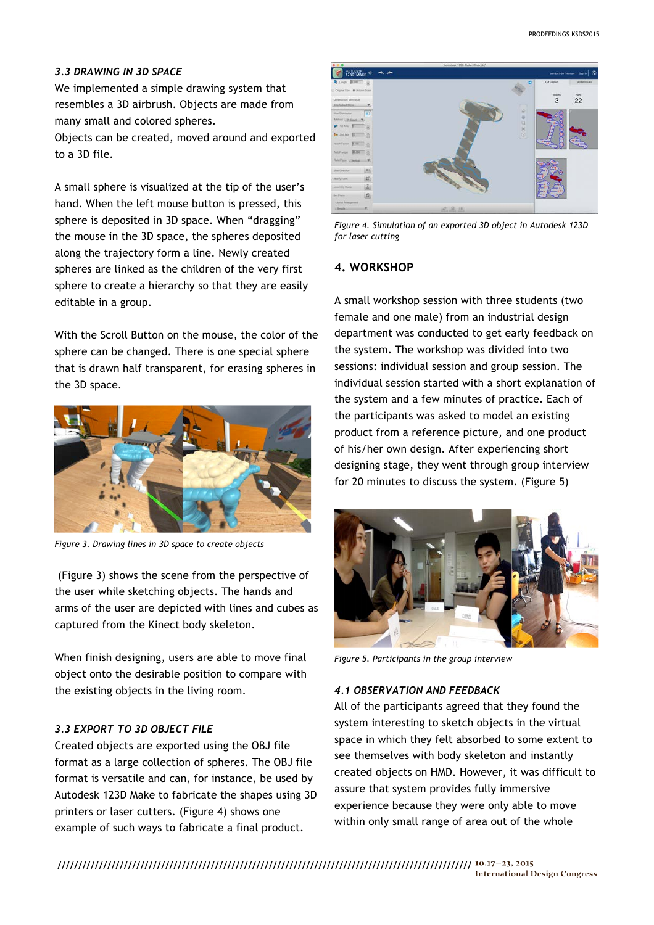#### *3.3 DRAWING IN 3D SPACE*

We implemented a simple drawing system that resembles a 3D airbrush. Objects are made from many small and colored spheres.

Objects can be created, moved around and exported to a 3D file.

A small sphere is visualized at the tip of the user's hand. When the left mouse button is pressed, this sphere is deposited in 3D space. When "dragging" the mouse in the 3D space, the spheres deposited along the trajectory form a line. Newly created spheres are linked as the children of the very first sphere to create a hierarchy so that they are easily editable in a group.

With the Scroll Button on the mouse, the color of the sphere can be changed. There is one special sphere that is drawn half transparent, for erasing spheres in the 3D space.



*Figure 3. Drawing lines in 3D space to create objects*

(Figure 3) shows the scene from the perspective of the user while sketching objects. The hands and arms of the user are depicted with lines and cubes as captured from the Kinect body skeleton.

When finish designing, users are able to move final object onto the desirable position to compare with the existing objects in the living room.

### *3.3 EXPORT TO 3D OBJECT FILE*

Created objects are exported using the OBJ file format as a large collection of spheres. The OBJ file format is versatile and can, for instance, be used by Autodesk 123D Make to fabricate the shapes using 3D printers or laser cutters. (Figure 4) shows one example of such ways to fabricate a final product.



*Figure 4. Simulation of an exported 3D object in Autodesk 123D for laser cutting*

# **4. WORKSHOP**

A small workshop session with three students (two female and one male) from an industrial design department was conducted to get early feedback on the system. The workshop was divided into two sessions: individual session and group session. The individual session started with a short explanation of the system and a few minutes of practice. Each of the participants was asked to model an existing product from a reference picture, and one product of his/her own design. After experiencing short designing stage, they went through group interview for 20 minutes to discuss the system. (Figure 5)



*Figure 5. Participants in the group interview*

#### *4.1 OBSERVATION AND FEEDBACK*

All of the participants agreed that they found the system interesting to sketch objects in the virtual space in which they felt absorbed to some extent to see themselves with body skeleton and instantly created objects on HMD. However, it was difficult to assure that system provides fully immersive experience because they were only able to move within only small range of area out of the whole